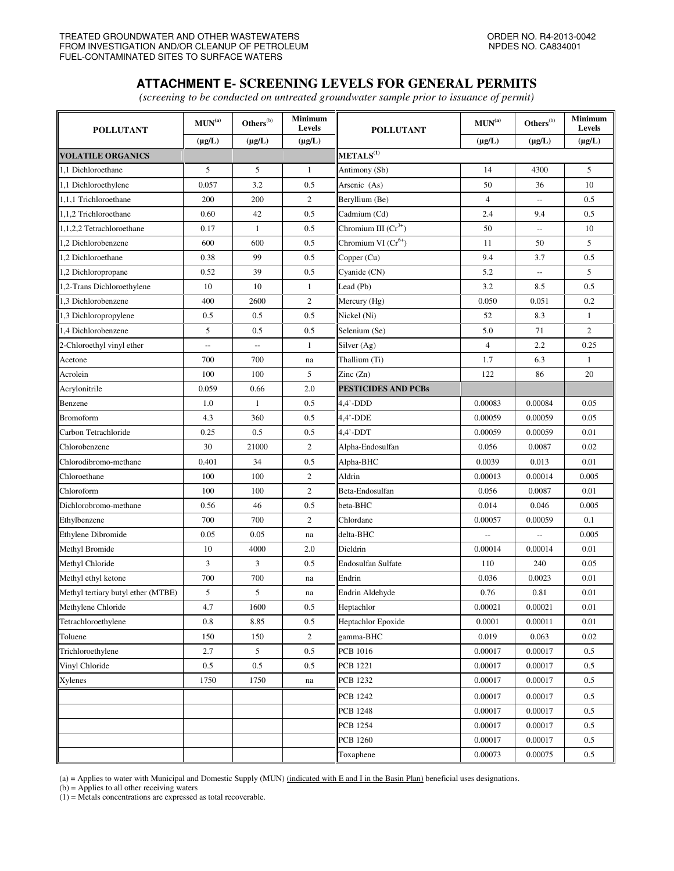## **ATTACHMENT E- SCREENING LEVELS FOR GENERAL PERMITS**

*(screening to be conducted on untreated groundwater sample prior to issuance of permit)* 

| <b>POLLUTANT</b>                   | $\textbf{MUN}^\text{(a)}$ | $\mathbf{Others}^{(\mathrm{b})}$ | <b>Minimum</b><br>Levels | <b>POLLUTANT</b>           | $\textbf{MUN}^\text{(a)}$ | $\mathbf{Others}^{(\mathrm{b})}$ | <b>Minimum</b><br>Levels |
|------------------------------------|---------------------------|----------------------------------|--------------------------|----------------------------|---------------------------|----------------------------------|--------------------------|
|                                    | $(\mu g/L)$               | $(\mu g/L)$                      | $(\mu g/L)$              |                            | $(\mu g/L)$               | $(\mu g/L)$                      | $(\mu g/L)$              |
| <b>VOLATILE ORGANICS</b>           |                           |                                  |                          | $\mathbf{METALS}^{(1)}$    |                           |                                  |                          |
| 1,1 Dichloroethane                 | 5                         | 5                                | $\mathbf{1}$             | Antimony (Sb)              | 14                        | 4300                             | 5                        |
| 1,1 Dichloroethylene               | 0.057                     | 3.2                              | 0.5                      | Arsenic (As)               | 50                        | 36                               | 10                       |
| 1,1,1 Trichloroethane              | 200                       | 200                              | 2                        | Beryllium (Be)             | $\overline{4}$            | $\overline{\phantom{a}}$         | 0.5                      |
| 1,1,2 Trichloroethane              | 0.60                      | 42                               | 0.5                      | Cadmium (Cd)               | 2.4                       | 9.4                              | 0.5                      |
| 1,1,2,2 Tetrachloroethane          | 0.17                      | $\mathbf{1}$                     | 0.5                      | Chromium III $(Cr^{3+})$   | 50                        | $\overline{\phantom{a}}$         | 10                       |
| 1,2 Dichlorobenzene                | 600                       | 600                              | 0.5                      | Chromium VI $(Cr^{6+})$    | 11                        | 50                               | 5                        |
| 1.2 Dichloroethane                 | 0.38                      | 99                               | 0.5                      | Copper (Cu)                | 9.4                       | 3.7                              | 0.5                      |
| 1,2 Dichloropropane                | 0.52                      | 39                               | 0.5                      | Cyanide (CN)               | 5.2                       | $\overline{\phantom{a}}$         | 5                        |
| 1,2-Trans Dichloroethylene         | 10                        | 10                               | 1                        | Lead (Pb)                  | 3.2                       | 8.5                              | 0.5                      |
| 1,3 Dichlorobenzene                | 400                       | 2600                             | $\boldsymbol{2}$         | Mercury (Hg)               | 0.050                     | 0.051                            | 0.2                      |
| 1,3 Dichloropropylene              | 0.5                       | 0.5                              | 0.5                      | Nickel (Ni)                | 52                        | 8.3                              | $\mathbf{1}$             |
| 1,4 Dichlorobenzene                | 5                         | 0.5                              | 0.5                      | Selenium (Se)              | 5.0                       | 71                               | $\overline{c}$           |
| 2-Chloroethyl vinyl ether          | L.                        | $\overline{\phantom{a}}$         | $\mathbf{1}$             | Silver (Ag)                | $\overline{4}$            | 2.2                              | 0.25                     |
| Acetone                            | 700                       | 700                              | na                       | Thallium (Ti)              | 1.7                       | 6.3                              | $\mathbf{1}$             |
| Acrolein                           | 100                       | 100                              | 5                        | $\text{Zinc}(\text{Zn})$   | 122                       | 86                               | 20                       |
| Acrylonitrile                      | 0.059                     | 0.66                             | 2.0                      | <b>PESTICIDES AND PCBs</b> |                           |                                  |                          |
| Benzene                            | 1.0                       | $\mathbf{1}$                     | 0.5                      | $4.4'$ -DDD                | 0.00083                   | 0.00084                          | 0.05                     |
| <b>Bromoform</b>                   | 4.3                       | 360                              | 0.5                      | 4,4'-DDE                   | 0.00059                   | 0.00059                          | 0.05                     |
| Carbon Tetrachloride               | 0.25                      | 0.5                              | 0.5                      | 4,4'-DDT                   | 0.00059                   | 0.00059                          | 0.01                     |
| Chlorobenzene                      | 30                        | 21000                            | $\overline{c}$           | Alpha-Endosulfan           | 0.056                     | 0.0087                           | 0.02                     |
| Chlorodibromo-methane              | 0.401                     | 34                               | 0.5                      | Alpha-BHC                  | 0.0039                    | 0.013                            | 0.01                     |
| Chloroethane                       | 100                       | 100                              | $\mathfrak{2}$           | Aldrin                     | 0.00013                   | 0.00014                          | 0.005                    |
| Chloroform                         | 100                       | 100                              | $\mathfrak{2}$           | Beta-Endosulfan            | 0.056                     | 0.0087                           | 0.01                     |
| Dichlorobromo-methane              | 0.56                      | 46                               | 0.5                      | beta-BHC                   | 0.014                     | 0.046                            | 0.005                    |
| Ethylbenzene                       | 700                       | 700                              | $\sqrt{2}$               | Chlordane                  | 0.00057                   | 0.00059                          | 0.1                      |
| <b>Ethylene Dibromide</b>          | 0.05                      | 0.05                             | na                       | delta-BHC                  |                           | $\overline{a}$                   | 0.005                    |
| Methyl Bromide                     | 10                        | 4000                             | 2.0                      | Dieldrin                   | 0.00014                   | 0.00014                          | 0.01                     |
| Methyl Chloride                    | 3                         | 3                                | 0.5                      | Endosulfan Sulfate         | 110                       | 240                              | 0.05                     |
| Methyl ethyl ketone                | 700                       | 700                              | na                       | Endrin                     | 0.036                     | 0.0023                           | 0.01                     |
| Methyl tertiary butyl ether (MTBE) | 5                         | 5                                | na                       | Endrin Aldehyde            | 0.76                      | 0.81                             | 0.01                     |
| Methylene Chloride                 | 4.7                       | 1600                             | 0.5                      | Heptachlor                 | 0.00021                   | 0.00021                          | 0.01                     |
| Tetrachloroethylene                | 0.8                       | 8.85                             | 0.5                      | Heptachlor Epoxide         | 0.0001                    | 0.00011                          | 0.01                     |
| Toluene                            | 150                       | 150                              | $\overline{c}$           | gamma-BHC                  | 0.019                     | 0.063                            | 0.02                     |
| Trichloroethylene                  | 2.7                       | 5                                | 0.5                      | PCB 1016                   | 0.00017                   | 0.00017                          | 0.5                      |
| Vinyl Chloride                     | 0.5                       | 0.5                              | 0.5                      | <b>PCB 1221</b>            | 0.00017                   | 0.00017                          | $0.5\,$                  |
| Xylenes                            | 1750                      | 1750                             | na                       | <b>PCB</b> 1232            | 0.00017                   | 0.00017                          | 0.5                      |
|                                    |                           |                                  |                          | <b>PCB 1242</b>            | 0.00017                   | 0.00017                          | 0.5                      |
|                                    |                           |                                  |                          | <b>PCB 1248</b>            | 0.00017                   | 0.00017                          | 0.5                      |
|                                    |                           |                                  |                          | <b>PCB</b> 1254            | 0.00017                   | 0.00017                          | 0.5                      |
|                                    |                           |                                  |                          | <b>PCB 1260</b>            | 0.00017                   | 0.00017                          | 0.5                      |
|                                    |                           |                                  |                          | Toxaphene                  | 0.00073                   | 0.00075                          | $0.5\,$                  |
|                                    |                           |                                  |                          |                            |                           |                                  |                          |

(a) = Applies to water with Municipal and Domestic Supply (MUN) (indicated with E and I in the Basin Plan) beneficial uses designations.

(b) = Applies to all other receiving waters

(1) = Metals concentrations are expressed as total recoverable.